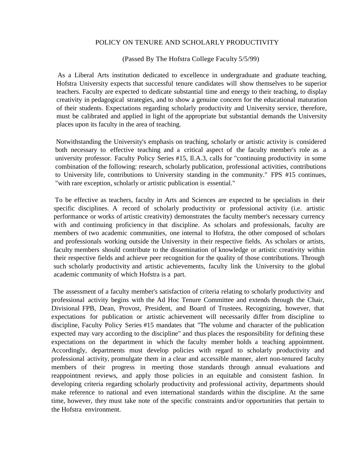## POLICY ON TENURE AND SCHOLARLY PRODUCTIVITY

## (Passed By The Hofstra College Faculty 5/5/99)

As a Liberal Arts institution dedicated to excellence in undergraduate and graduate teaching, Hofstra University expects that successful tenure candidates will show themselves to be superior teachers. Faculty are expected to dedicate substantial time and energy to their teaching, to display creativity in pedagogical strategies, and to show a genuine concern for the educational maturation of their students. Expectations regarding scholarly productivity and University service, therefore, must be calibrated and applied in light of the appropriate but substantial demands the University places upon its faculty in the area of teaching.

Notwithstanding the University's emphasis on teaching, scholarly or artistic activity is considered both necessary to effective teaching and a critical aspect of the faculty member's role as a university professor. Faculty Policy Series #15, Il.A.3, calls for "continuing productivity in some combination of the following: research, scholarly publication, professional activities, contributions to University life, contributions to University standing in the community." FPS #15 continues, "with rare exception, scholarly or artistic publication is essential."

To be effective as teachers, faculty in Arts and Sciences are expected to be specialists in their specific disciplines. A record of scholarly productivity or professional activity (i.e. artistic performance or works of artistic creativity) demonstrates the faculty member's necessary currency with and continuing proficiency in that discipline. As scholars and professionals, faculty are members of two academic communities, one internal to Hofstra, the other composed of scholars and professionals working outside the University in their respective fields. As scholars or artists, faculty members should contribute to the dissemination of knowledge or artistic creativity within their respective fields and achieve peer recognition for the quality of those contributions. Through such scholarly productivity and artistic achievements, faculty link the University to the global academic community of which Hofstra is a part.

The assessment of a faculty member's satisfaction of criteria relating to scholarly productivity and professional activity begins with the Ad Hoc Tenure Committee and extends through the Chair, Divisional FPB, Dean, Provost, President, and Board of Trustees. Recognizing, however, that expectations for publication or artistic achievement will necessarily differ from discipline to discipline, Faculty Policy Series #15 mandates that "The volume and character of the publication expected may vary according to the discipline" and thus places the responsibility for defining these expectations on the department in which the faculty member holds a teaching appointment. Accordingly, departments must develop policies with regard to scholarly productivity and professional activity, promulgate them in a clear and accessible manner, alert non-tenured faculty members of their progress in meeting those standards through annual evaluations and reappointment reviews, and apply those policies in an equitable and consistent fashion. In developing criteria regarding scholarly productivity and professional activity, departments should make reference to national and even international standards within the discipline. At the same time, however, they must take note of the specific constraints and/or opportunities that pertain to the Hofstra environment.